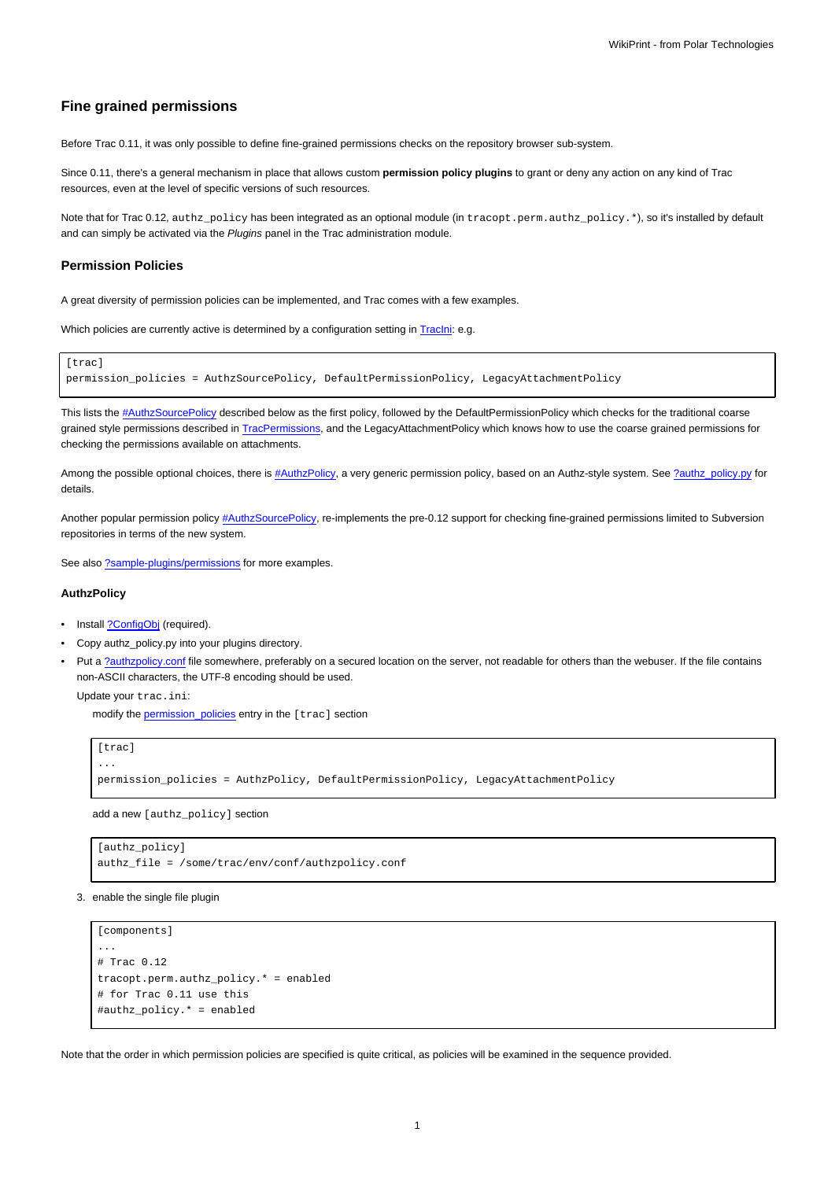# **Fine grained permissions**

Before Trac 0.11, it was only possible to define fine-grained permissions checks on the repository browser sub-system.

Since 0.11, there's a general mechanism in place that allows custom **permission policy plugins** to grant or deny any action on any kind of Trac resources, even at the level of specific versions of such resources.

Note that for Trac 0.12, authz\_policy has been integrated as an optional module (in tracopt.perm.authz\_policy.\*), so it's installed by default and can simply be activated via the Plugins panel in the Trac administration module.

### **Permission Policies**

A great diversity of permission policies can be implemented, and Trac comes with a few examples.

Which policies are currently active is determined by a configuration setting in Traclni: e.g.

```
[trac]
permission_policies = AuthzSourcePolicy, DefaultPermissionPolicy, LegacyAttachmentPolicy
```
This lists the [#AuthzSourcePolicy](https://meteo.unican.es/trac/wiki/TracFineGrainedPermissions#AuthzSourcePolicy) described below as the first policy, followed by the DefaultPermissionPolicy which checks for the traditional coarse grained style permissions described in [TracPermissions,](https://meteo.unican.es/trac/wiki/TracPermissions) and the LegacyAttachmentPolicy which knows how to use the coarse grained permissions for checking the permissions available on attachments.

Among the possible optional choices, there is [#AuthzPolicy](https://meteo.unican.es/trac/wiki/TracFineGrainedPermissions#AuthzPolicy), a very generic permission policy, based on an Authz-style system. See [?authz\\_policy.py](http://trac.edgewall.org/intertrac/source%3Abranches/0.12-stable/tracopt/perm/authz_policy.py) for details.

Another popular permission policy [#AuthzSourcePolicy,](https://meteo.unican.es/trac/wiki/TracFineGrainedPermissions#AuthzSourcePolicy) re-implements the pre-0.12 support for checking fine-grained permissions limited to Subversion repositories in terms of the new system.

See also [?sample-plugins/permissions](http://trac.edgewall.org/intertrac/source%3Abranches/0.12-stable/sample-plugins/permissions) for more examples.

## **AuthzPolicy**

- Install [?ConfigObj](http://www.voidspace.org.uk/python/configobj.html) (required).
- Copy authz\_policy.py into your plugins directory.
- Put a [?authzpolicy.conf](http://swapoff.org/files/authzpolicy.conf) file somewhere, preferably on a secured location on the server, not readable for others than the webuser. If the file contains non-ASCII characters, the UTF-8 encoding should be used.

Update your trac.ini:

modify the [permission\\_policies](https://meteo.unican.es/trac/wiki/TracIni#trac-section) entry in the [trac] section

```
[trac]
...
permission_policies = AuthzPolicy, DefaultPermissionPolicy, LegacyAttachmentPolicy
```
add a new [authz\_policy] section

```
[authz_policy]
authz_file = /some/trac/env/conf/authzpolicy.conf
```
3. enable the single file plugin

```
[components]
...
# Trac 0.12
tracopt.perm.authz_policy.* = enabled
# for Trac 0.11 use this
#authz_policy.* = enabled
```
Note that the order in which permission policies are specified is quite critical, as policies will be examined in the sequence provided.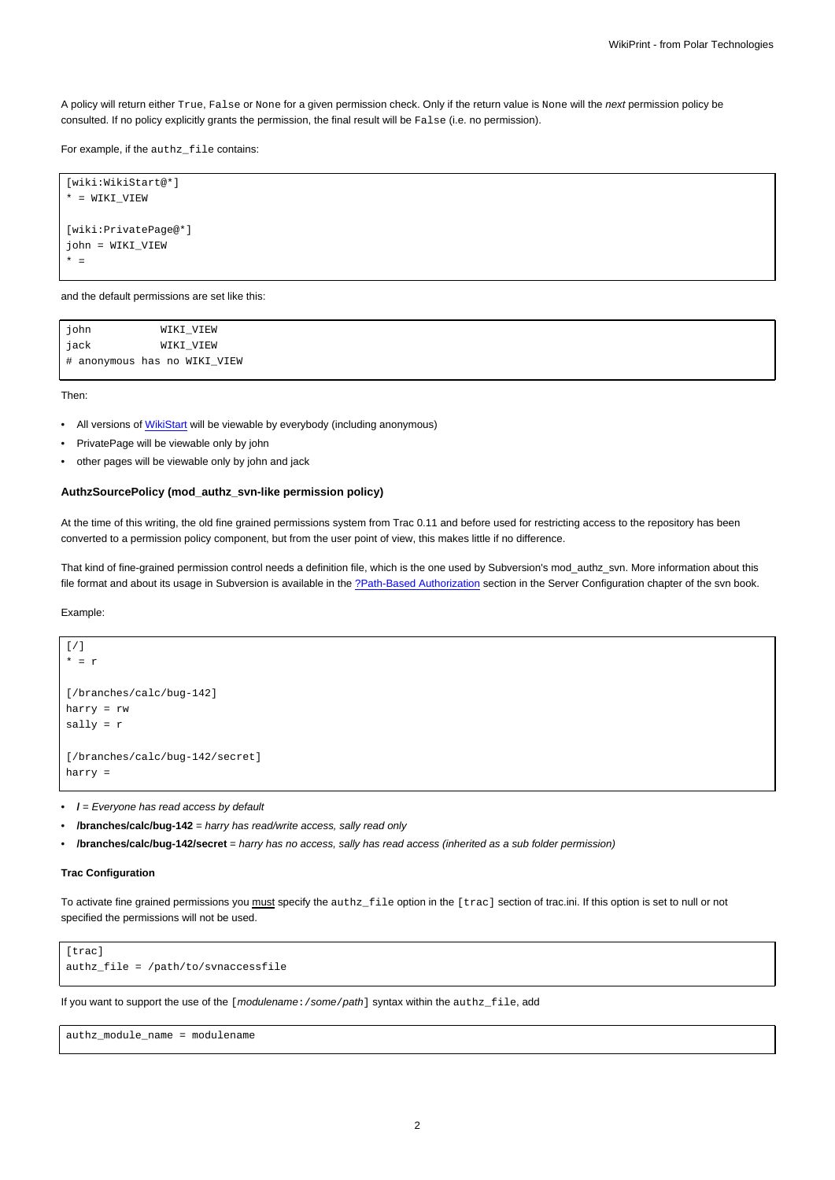A policy will return either True, False or None for a given permission check. Only if the return value is None will the next permission policy be consulted. If no policy explicitly grants the permission, the final result will be False (i.e. no permission).

For example, if the authz\_file contains:

```
[wiki:WikiStart@*]
* = WIKI_VIEW
[wiki:PrivatePage@*]
john = WIKI_VIEW
* =
```
and the default permissions are set like this:

| john                         | WIKI_VIEW |
|------------------------------|-----------|
| jack                         | WIKI VIEW |
| # anonymous has no WIKI VIEW |           |

Then:

- All versions of [WikiStart](https://meteo.unican.es/trac/wiki/WikiStart) will be viewable by everybody (including anonymous)
- PrivatePage will be viewable only by john
- other pages will be viewable only by john and jack

#### **AuthzSourcePolicy (mod\_authz\_svn-like permission policy)**

At the time of this writing, the old fine grained permissions system from Trac 0.11 and before used for restricting access to the repository has been converted to a permission policy component, but from the user point of view, this makes little if no difference.

That kind of fine-grained permission control needs a definition file, which is the one used by Subversion's mod\_authz\_svn. More information about this file format and about its usage in Subversion is available in the [?Path-Based Authorization](http://svnbook.red-bean.com/en/1.5/svn.serverconfig.pathbasedauthz.html) section in the Server Configuration chapter of the svn book.

Example:

```
[/]* = r
[/branches/calc/bug-142]
harry = rw
sally = r
[/branches/calc/bug-142/secret]
harry =
```
• **/** = Everyone has read access by default

• **/branches/calc/bug-142** = harry has read/write access, sally read only

• **/branches/calc/bug-142/secret** = harry has no access, sally has read access (inherited as a sub folder permission)

### **Trac Configuration**

To activate fine grained permissions you must specify the authz\_file option in the [trac] section of trac.ini. If this option is set to null or not specified the permissions will not be used.

```
[trac]
authz_file = /path/to/svnaccessfile
```
If you want to support the use of the [modulename: /some/path] syntax within the authz\_file, add

authz\_module\_name = modulename